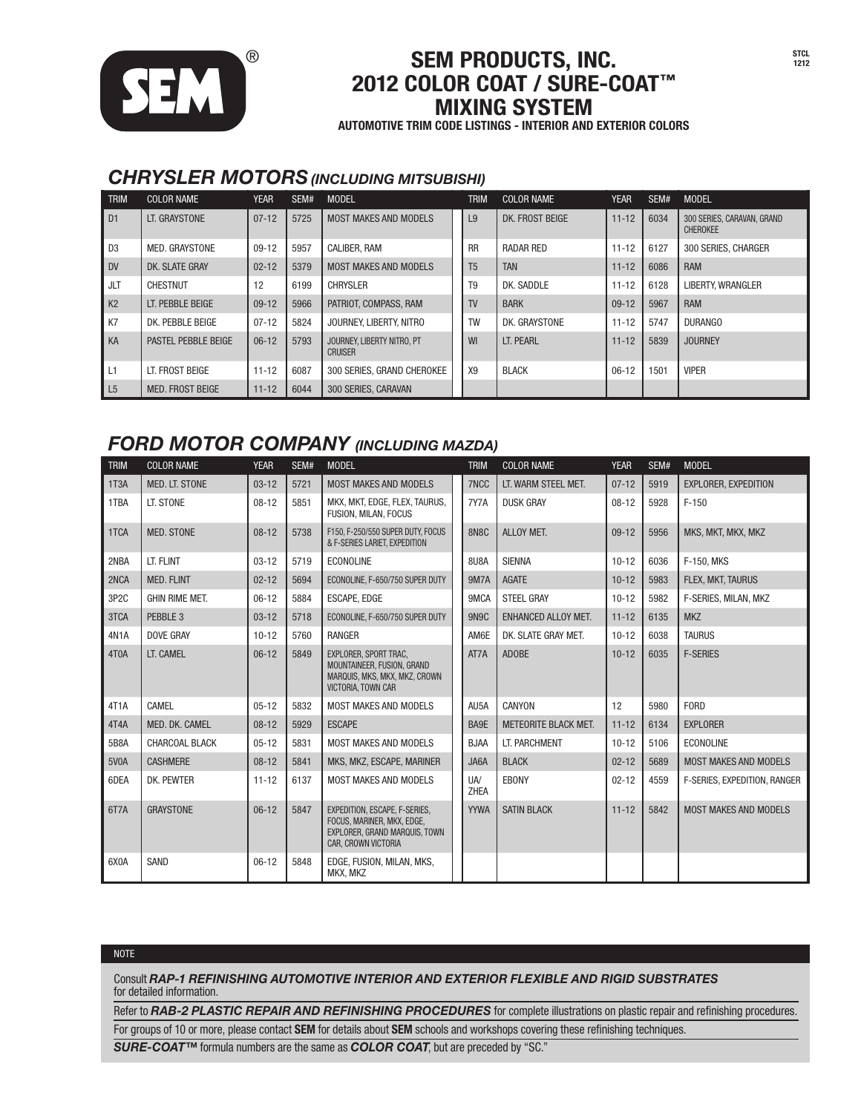

## SEM PRODUCTS, INC. STCL ® <sup>1212</sup> 2012 COLOR COAT / SURE-COAT™ MIXING SYSTEM

AUTOMOTIVE TRIM CODE LISTINGS - INTERIOR AND EXTERIOR COLORS

### *chrysler motors(including mitsubishi)*

| <b>TRIM</b>    | <b>COLOR NAME</b>          | <b>YEAR</b> | SEM# | <b>MODEL</b>                                 | <b>TRIM</b>    | <b>COLOR NAME</b> | <b>YEAR</b> | SEM# | <b>MODEL</b>                                  |
|----------------|----------------------------|-------------|------|----------------------------------------------|----------------|-------------------|-------------|------|-----------------------------------------------|
| D <sub>1</sub> | LT. GRAYSTONE              | $07 - 12$   | 5725 | <b>MOST MAKES AND MODELS</b>                 | L9             | DK. FROST BEIGE   | $11 - 12$   | 6034 | 300 SERIES, CARAVAN, GRAND<br><b>CHEROKEE</b> |
| D <sub>3</sub> | MED. GRAYSTONE             | $09-12$     | 5957 | <b>CALIBER, RAM</b>                          | <b>RR</b>      | RADAR RED         | $11 - 12$   | 6127 | 300 SERIES, CHARGER                           |
| <b>DV</b>      | DK. SLATE GRAY             | $02 - 12$   | 5379 | <b>MOST MAKES AND MODELS</b>                 | T <sub>5</sub> | <b>TAN</b>        | $11 - 12$   | 6086 | <b>RAM</b>                                    |
| <b>JLT</b>     | <b>CHESTNUT</b>            | 12          | 6199 | <b>CHRYSLER</b>                              | T <sub>9</sub> | DK. SADDLE        | $11 - 12$   | 6128 | <b>LIBERTY, WRANGLER</b>                      |
| K <sub>2</sub> | LT. PEBBLE BEIGE           | $09-12$     | 5966 | PATRIOT, COMPASS, RAM                        | <b>TV</b>      | <b>BARK</b>       | $09-12$     | 5967 | <b>RAM</b>                                    |
| <b>K7</b>      | DK. PEBBLE BEIGE           | $07 - 12$   | 5824 | JOURNEY, LIBERTY, NITRO                      | <b>TW</b>      | DK. GRAYSTONE     | $11 - 12$   | 5747 | DURANGO                                       |
| KA             | <b>PASTEL PEBBLE BEIGE</b> | $06-12$     | 5793 | JOURNEY, LIBERTY NITRO, PT<br><b>CRUISER</b> | WI             | LT. PEARL         | $11 - 12$   | 5839 | <b>JOURNEY</b>                                |
| L1             | LT. FROST BEIGE            | $11 - 12$   | 6087 | 300 SERIES, GRAND CHEROKEE                   | X9             | <b>BLACK</b>      | $06-12$     | 1501 | <b>VIPER</b>                                  |
| L <sub>5</sub> | <b>MED. FROST BEIGE</b>    | $11 - 12$   | 6044 | 300 SERIES, CARAVAN                          |                |                   |             |      |                                               |

### *ford motor company (including mazda)*

| <b>TRIM</b>       | <b>COLOR NAME</b>     | <b>YEAR</b> | SEM# | <b>MODEL</b>                                                                                                        | <b>TRIM</b>        | <b>COLOR NAME</b>           | <b>YEAR</b> | SEM# | <b>MODEL</b>                 |
|-------------------|-----------------------|-------------|------|---------------------------------------------------------------------------------------------------------------------|--------------------|-----------------------------|-------------|------|------------------------------|
| 1T <sub>3</sub> A | MED. LT. STONE        | $03 - 12$   | 5721 | <b>MOST MAKES AND MODELS</b>                                                                                        | 7NCC               | LT. WARM STEEL MET.         | $07 - 12$   | 5919 | EXPLORER, EXPEDITION         |
| 1TBA              | LT. STONE             | $08 - 12$   | 5851 | MKX, MKT, EDGE, FLEX, TAURUS.<br>FUSION, MILAN, FOCUS                                                               | 7Y7A               | <b>DUSK GRAY</b>            | $08 - 12$   | 5928 | $F-150$                      |
| 1TCA              | <b>MED. STONE</b>     | $08-12$     | 5738 | F150. F-250/550 SUPER DUTY. FOCUS<br>& F-SERIES LARIET, EXPEDITION                                                  | <b>8N8C</b>        | ALLOY MET.                  | $09-12$     | 5956 | MKS, MKT, MKX, MKZ           |
| 2NBA              | LT. FLINT             | $03 - 12$   | 5719 | <b>ECONOLINE</b>                                                                                                    | <b>8U8A</b>        | <b>SIENNA</b>               | $10 - 12$   | 6036 | F-150. MKS                   |
| 2NCA              | <b>MED. FLINT</b>     | $02 - 12$   | 5694 | ECONOLINE, F-650/750 SUPER DUTY                                                                                     | <b>9M7A</b>        | <b>AGATE</b>                | $10 - 12$   | 5983 | FLEX, MKT, TAURUS            |
| 3P <sub>2</sub> C | <b>GHIN RIME MET.</b> | $06-12$     | 5884 | <b>ESCAPE. EDGE</b>                                                                                                 | 9MCA               | <b>STEEL GRAY</b>           | $10 - 12$   | 5982 | F-SERIES, MILAN, MKZ         |
| 3TCA              | PEBBLE 3              | $03 - 12$   | 5718 | ECONOLINE. F-650/750 SUPER DUTY                                                                                     | 9N <sub>9</sub> C  | <b>ENHANCED ALLOY MET.</b>  | $11 - 12$   | 6135 | <b>MKZ</b>                   |
| 4N <sub>1</sub> A | <b>DOVE GRAY</b>      | $10 - 12$   | 5760 | RANGER                                                                                                              | AM6E               | DK. SLATE GRAY MET.         | $10 - 12$   | 6038 | <b>TAURUS</b>                |
| 4T0A              | LT. CAMEL             | $06-12$     | 5849 | EXPLORER. SPORT TRAC.<br>MOUNTAINEER, FUSION, GRAND<br>MARQUIS, MKS, MKX, MKZ, CROWN<br>VICTORIA, TOWN CAR          | AT7A               | <b>ADOBE</b>                | $10 - 12$   | 6035 | <b>F-SERIES</b>              |
| 4T <sub>1</sub> A | CAMEL                 | $05 - 12$   | 5832 | <b>MOST MAKES AND MODELS</b>                                                                                        | AU5A               | CANYON                      | 12          | 5980 | <b>FORD</b>                  |
| 4T4A              | MED. DK. CAMEL        | $08 - 12$   | 5929 | <b>ESCAPE</b>                                                                                                       | BA9E               | <b>METEORITE BLACK MET.</b> | $11 - 12$   | 6134 | <b>EXPLORER</b>              |
| 5B8A              | <b>CHARCOAL BLACK</b> | $05 - 12$   | 5831 | <b>MOST MAKES AND MODELS</b>                                                                                        | <b>BJAA</b>        | LT. PARCHMENT               | $10 - 12$   | 5106 | <b>ECONOLINE</b>             |
| 5V <sub>0</sub> A | <b>CASHMERE</b>       | $08 - 12$   | 5841 | MKS. MKZ. ESCAPE. MARINER                                                                                           | JA6A               | <b>BLACK</b>                | $02 - 12$   | 5689 | <b>MOST MAKES AND MODELS</b> |
| 6DEA              | DK. PEWTER            | $11 - 12$   | 6137 | <b>MOST MAKES AND MODELS</b>                                                                                        | <b>UA/</b><br>ZHEA | <b>EBONY</b>                | $02 - 12$   | 4559 | F-SERIES, EXPEDITION, RANGER |
| 6T7A              | <b>GRAYSTONE</b>      | $06-12$     | 5847 | EXPEDITION. ESCAPE. F-SERIES.<br>FOCUS, MARINER, MKX, EDGE,<br>EXPLORER, GRAND MARQUIS, TOWN<br>CAR. CROWN VICTORIA | <b>YYWA</b>        | <b>SATIN BLACK</b>          | $11 - 12$   | 5842 | <b>MOST MAKES AND MODELS</b> |
| 6X0A              | SAND                  | $06 - 12$   | 5848 | EDGE. FUSION. MILAN. MKS.<br>MKX, MKZ                                                                               |                    |                             |             |      |                              |

#### **NOTE**

Consult *RAP-1 REFINISHING AUTOMOTIVE INTERIOR AND EXTERIOR FLEXIBLE AND RIGID SUBSTRATES*  for detailed information.

Refer to *RAB-2 PLASTIC REPAIR AND REFINISHING PROCEDURES* for complete illustrations on plastic repair and refinishing procedures.

For groups of 10 or more, please contact SEM for details about SEM schools and workshops covering these refinishing techniques.

*SURE-COAT™* formula numbers are the same as *COLOR COAT*, but are preceded by "SC."